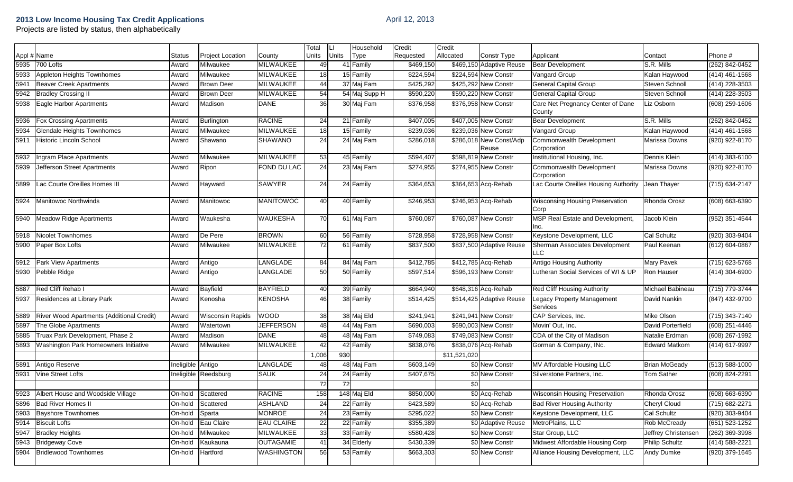| 2013 Low Income Housing Tax Credit Applications<br>Projects are listed by status, then alphabetically |  | April 12, 2013 |  |           |        |        |  |  |
|-------------------------------------------------------------------------------------------------------|--|----------------|--|-----------|--------|--------|--|--|
|                                                                                                       |  | Total          |  | Household | Credit | Credit |  |  |

|      |                                                |            |                      |                   | Total | Ш     | Household     | Credit    | Credit       |                                  |                                                |                       |                    |
|------|------------------------------------------------|------------|----------------------|-------------------|-------|-------|---------------|-----------|--------------|----------------------------------|------------------------------------------------|-----------------------|--------------------|
|      | Appl # Name                                    | Status     | Project Location     | County            | Units | Units | <b>Type</b>   | Requested | Allocated    | <b>Constr Type</b>               | Applicant                                      | Contact               | Phone #            |
| 5935 | 700 Lofts                                      | Award      | Milwaukee            | <b>MILWAUKEE</b>  | 49    |       | 41 Family     | \$469,150 |              | \$469,150 Adaptive Reuse         | <b>Bear Development</b>                        | S.R. Mills            | $(262) 842 - 0452$ |
| 5933 | Appleton Heights Townhomes                     | Award      | Milwaukee            | <b>MILWAUKEE</b>  | 18    |       | 15 Family     | \$224,594 |              | \$224,594 New Constr             | Vangard Group                                  | Kalan Haywood         | $(414)$ 461-1568   |
| 5941 | <b>Beaver Creek Apartments</b>                 | Award      | <b>Brown Deer</b>    | <b>MILWAUKEE</b>  | 44    |       | 37 Maj Fam    | \$425,292 |              | \$425,292 New Constr             | <b>General Capital Group</b>                   | Steven Schnoll        | $(414)$ 228-3503   |
| 5942 | <b>Bradley Crossing II</b>                     | Award      | <b>Brown Deer</b>    | MILWAUKEE         | 54    |       | 54 Maj Supp H | \$590,220 |              | \$590,220 New Constr             | <b>General Capital Group</b>                   | Steven Schnoll        | $(414)$ 228-3503   |
| 5938 | Eagle Harbor Apartments                        | Award      | Madison              | <b>DANE</b>       | 36    |       | 30 Maj Fam    | \$376,958 |              | \$376,958 New Constr             | Care Net Pregnancy Center of Dane<br>County    | Liz Osborn            | $(608)$ 259-1606   |
| 5936 | <b>Fox Crossing Apartments</b>                 | Award      | Burlington           | <b>RACINE</b>     | 24    |       | 21 Family     | \$407,005 |              | \$407,005 New Constr             | <b>Bear Development</b>                        | S.R. Mills            | (262) 842-0452     |
| 5934 | <b>Glendale Heights Townhomes</b>              | Award      | Milwaukee            | <b>MILWAUKEE</b>  | 18    |       | 15 Family     | \$239,036 |              | \$239,036 New Constr             | Vangard Group                                  | Kalan Haywood         | $(414)$ 461-1568   |
| 5911 | Historic Lincoln School                        | Award      | Shawano              | SHAWANO           | 24    |       | 24 Maj Fam    | \$286,018 |              | \$286,018 New Const/Adp<br>Reuse | Commonwealth Development<br>Corporation        | Marissa Downs         | (920) 922-8170     |
| 5932 | Ingram Place Apartments                        | Award      | Milwaukee            | MILWAUKEE         | 53    |       | 45 Family     | \$594,407 |              | \$598,819 New Constr             | Institutional Housing, Inc.                    | Dennis Klein          | $(414)$ 383-6100   |
| 5939 | Jefferson Street Apartments                    | Award      | Ripon                | FOND DU LAC       | 24    |       | 23 Maj Fam    | \$274,955 |              | \$274,955 New Constr             | Commonwealth Development<br>Corporation        | Marissa Downs         | (920) 922-8170     |
| 5899 | Lac Courte Oreilles Homes III                  | Award      | Hayward              | <b>SAWYER</b>     | 24    |       | 24 Family     | \$364,653 |              | \$364,653 Acq-Rehab              | Lac Courte Oreilles Housing Authority          | Jean Thayer           | $(715) 634 - 2147$ |
|      | 5924 Manitowoc Northwinds                      | Award      | Manitowoc            | <b>MANITOWOC</b>  | 40    |       | 40 Family     | \$246,953 |              | \$246,953 Acq-Rehab              | <b>Wisconsing Housing Preservation</b><br>Corp | Rhonda Orosz          | $(608) 663 - 6390$ |
| 5940 | <b>Meadow Ridge Apartments</b>                 | Award      | Waukesha             | <b>WAUKESHA</b>   | 70    |       | 61 Maj Fam    | \$760,087 |              | \$760,087 New Constr             | MSP Real Estate and Development,<br>Inc.       | Jacob Klein           | (952) 351-4544     |
|      | 5918 Nicolet Townhomes                         | Award      | De Pere              | <b>BROWN</b>      | 60    |       | 56 Family     | \$728,958 |              | \$728,958 New Constr             | Keystone Development, LLC                      | <b>Cal Schultz</b>    | $(920)$ 303-9404   |
|      | 5900 Paper Box Lofts                           | Award      | Milwaukee            | <b>MILWAUKEE</b>  | 72    |       | 61 Family     | \$837,500 |              | \$837,500 Adaptive Reuse         | Sherman Associates Development<br><b>LLC</b>   | Paul Keenan           | (612) 604-0867     |
|      | 5912 Park View Apartments                      | Award      | Antigo               | <b>LANGLADE</b>   | 84    |       | 84 Maj Fam    | \$412,785 |              | \$412,785 Acq-Rehab              | <b>Antigo Housing Authority</b>                | Mary Pavek            | $(715)$ 623-5768   |
|      | 5930 Pebble Ridge                              | Award      | Antigo               | LANGLADE          | 50    |       | 50 Family     | \$597,514 |              | \$596,193 New Constr             | Lutheran Social Services of WI & UP            | Ron Hauser            | $(414)$ 304-6900   |
| 5887 | Red Cliff Rehab I                              | Award      | Bayfield             | <b>BAYFIELD</b>   | 40    |       | 39 Family     | \$664,940 |              | \$648,316 Acq-Rehab              | <b>Red Cliff Housing Authority</b>             | Michael Babineau      | (715) 779-3744     |
|      | 5937 Residences at Library Park                | Award      | Kenosha              | KENOSHA           | 46    |       | 38 Family     | \$514,425 |              | \$514,425 Adaptive Reuse         | Legacy Property Management<br>Services         | David Nankin          | (847) 432-9700     |
|      | 5889 River Wood Apartments (Additional Credit) | Award      | Wisconsin Rapids     | <b>WOOD</b>       | 38    |       | 38 Maj Eld    | \$241,941 |              | \$241,941 New Constr             | CAP Services, Inc.                             | Mike Olson            | $(715)$ 343-7140   |
| 5897 | The Globe Apartments                           | Award      | Watertown            | <b>JEFFERSON</b>  | 48    |       | 44 Maj Fam    | \$690,003 |              | \$690,003 New Constr             | Movin' Out, Inc.                               | David Porterfield     | $(608)$ 251-4446   |
| 5885 | Truax Park Development, Phase 2                | Award      | Madison              | <b>DANE</b>       | 48    |       | 48 Maj Fam    | \$749,083 |              | \$749,083 New Constr             | CDA of the City of Madison                     | Natalie Erdman        | (608) 267-1992     |
| 5893 | Washington Park Homeowners Initiative          | Award      | Milwaukee            | <b>MILWAUKEE</b>  | 42    |       | 42 Family     | \$838,076 |              | \$838,076 Acq-Rehab              | Gorman & Company, INc.                         | <b>Edward Matkom</b>  | (414) 617-9997     |
|      |                                                |            |                      |                   | 1,006 | 930   |               |           | \$11,521,020 |                                  |                                                |                       |                    |
| 5891 | Antigo Reserve                                 | Ineligible | Antigo               | LANGLADE          | 48    |       | 48 Maj Fam    | \$603,149 |              | \$0 New Constr                   | MV Affordable Housing LLC                      | <b>Brian McGeady</b>  | $(513) 588 - 1000$ |
| 5931 | Vine Street Lofts                              |            | Ineligible Reedsburg | <b>SAUK</b>       | 24    |       | 24 Family     | \$407,675 |              | \$0 New Constr                   | Silverstone Partners, Inc.                     | Tom Sather            | (608) 824-2291     |
|      |                                                |            |                      |                   | 72    | 72    |               |           | \$0          |                                  |                                                |                       |                    |
|      | 5923 Albert House and Woodside Village         |            | On-hold Scattered    | <b>RACINE</b>     | 158   |       | 148 Maj Eld   | \$850,000 |              | \$0 Acq-Rehab                    | Wisconsin Housing Preservation                 | Rhonda Orosz          | (608) 663-6390     |
|      | 5896 Bad River Homes II                        | On-hold    | Scattered            | <b>ASHLAND</b>    | 24    |       | 22 Family     | \$423,589 |              | \$0 Acq-Rehab                    | <b>Bad River Housing Authority</b>             | <b>Cheryl Cloud</b>   | (715) 682-2271     |
|      | 5903 Bayshore Townhomes                        | On-hold    | Sparta               | <b>MONROE</b>     | 24    |       | 23 Family     | \$295,022 |              | \$0 New Constr                   | Keystone Development, LLC                      | Cal Schultz           | (920) 303-9404     |
|      | 5914 Biscuit Lofts                             | On-hold    | Eau Claire           | <b>EAU CLAIRE</b> | 22    |       | 22 Family     | \$355,389 |              | \$0 Adaptive Reuse               | MetroPlains, LLC                               | Rob McCready          | $(651) 523 - 1252$ |
|      | 5947 Bradley Heights                           | On-hold    | Milwaukee            | MILWAUKEE         | 33    |       | 33 Family     | \$580,428 |              | \$0 New Constr                   | Star Group, LLC                                | Jeffrey Christensen   | $(262)$ 369-3998   |
|      | 5943 Bridgeway Cove                            | On-hold    | Kaukauna             | <b>OUTAGAMIE</b>  | 41    |       | 34 Elderly    | \$430,339 |              | \$0 New Constr                   | Midwest Affordable Housing Corp                | <b>Philip Schultz</b> | $(414) 588 - 2221$ |
|      | 5904 Bridlewood Townhomes                      | On-hold    | Hartford             | <b>WASHINGTON</b> | 56    |       | 53 Family     | \$663,303 |              | \$0 New Constr                   | Alliance Housing Development, LLC              | Andy Dumke            | $(920)$ 379-1645   |